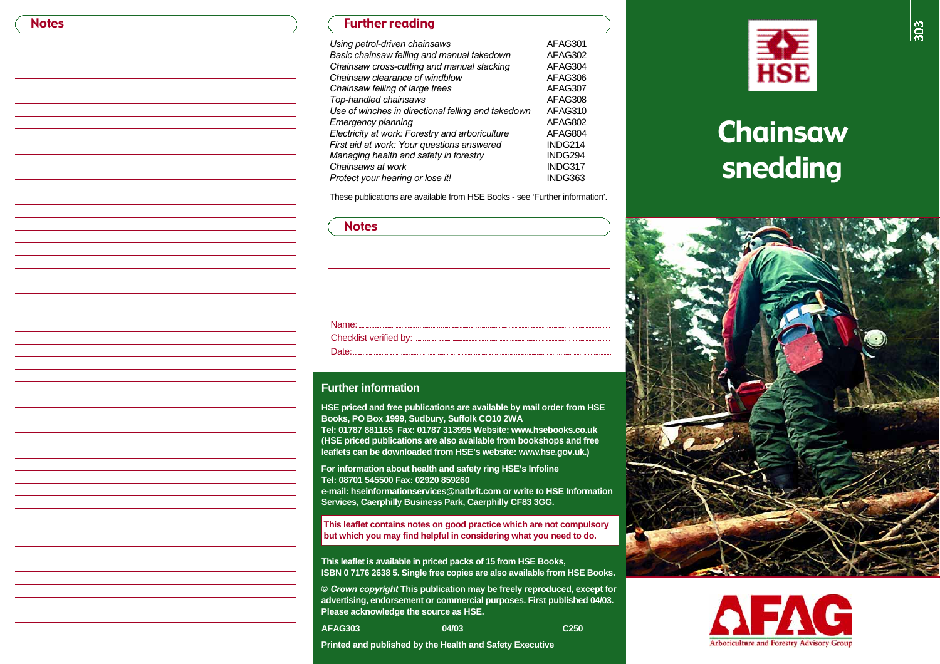**Notes** 

## Further reading

| Using petrol-driven chainsaws                      | AFAG301 |
|----------------------------------------------------|---------|
| Basic chainsaw felling and manual takedown         | AFAG302 |
| Chainsaw cross-cutting and manual stacking         | AFAG304 |
| Chainsaw clearance of windblow                     | AFAG306 |
| Chainsaw felling of large trees                    | AFAG307 |
| Top-handled chainsaws                              | AFAG308 |
| Use of winches in directional felling and takedown | AFAG310 |
| Emergency planning                                 | AFAG802 |
| Electricity at work: Forestry and arboriculture    | AFAG804 |
| First aid at work: Your questions answered         | INDG214 |
| Managing health and safety in forestry             | INDG294 |
| Chainsaws at work                                  | INDG317 |
| Protect your hearing or lose it!                   | INDG363 |

These publications are available from HSE Books - see 'Further information'.

### **Notes**

# Name: 2008. 2008. 2010. 2010. 2010. 2010. 2010. 2010. 2010. 2010. 2010. 2010. 2010. 2010. 2010. 2010. 2010. 20 Checklist verified by: Date: **Material Contract Contract Contract Contract Contract Contract Contract Contract Contract Contract Contract Contract Contract Contract Contract Contract Contract Contract Contract Contract Contract Contract Contract**

#### **Further information**

**HSE priced and free publications are available by mail order from HSE Books, PO Box 1999, Sudbury, Suffolk CO10 2WA**

Tel: 01787 881165 Fax: 01787 313995 Website: www.hsebooks.co.uk **(HSE priced publications are also available from bookshops and free** leaflets can be downloaded from HSE's website: www.hse.gov.uk.)

**For information about health and safety ring HSE's Infoline Tel: 08701 545500 Fax: 02920 859260 e-mail: hseinformationservices@natbrit.com or write to HSE InformationServices, Caerphilly Business Park, Caerphilly CF83 3GG.** 

**This leaflet contains notes on good practice which are not compulsory but which you may find helpful in considering what you need to do.**

**This leaflet is available in priced packs of 15 from HSE Books, ISBN 0 7176 2638 5. Single free copies are also available from HSE Books.** 

**©** *Crown copyright* **This publication may be freely reproduced, except for advertising, endorsement or commercial purposes. First published 04/03. Please acknowledge the source as HSE.**

**A FA G 3 0 3 0 4 / 0 3 C 2 5 0**

**Printed and published by the Health and Safety Executive**



# Chainsaw s nedding